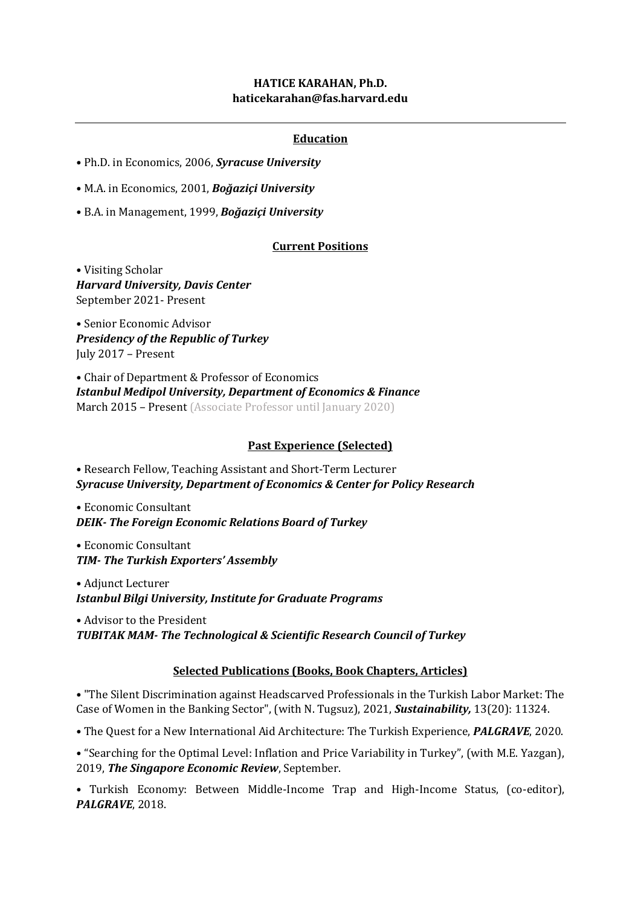## **HATICE KARAHAN, Ph.D. [haticekarahan@fas.harvard.edu](mailto:hkarahan@medipol.edu.tr)**

# **Education**

- Ph.D. in Economics, 2006, *Syracuse University*
- M.A. in Economics, 2001, *Boğaziçi University*
- B.A. in Management, 1999, *Boğaziçi University*

### **Current Positions**

• Visiting Scholar *Harvard University, Davis Center* September 2021- Present

• Senior Economic Advisor *Presidency of the Republic of Turkey* July 2017 – Present

• Chair of Department & Professor of Economics *Istanbul Medipol University, Department of Economics & Finance* March 2015 – Present (Associate Professor until January 2020)

### **Past Experience (Selected)**

• Research Fellow, Teaching Assistant and Short-Term Lecturer *Syracuse University, Department of Economics & Center for Policy Research*

• Economic Consultant *DEIK- The Foreign Economic Relations Board of Turkey*

• Economic Consultant *TIM- The Turkish Exporters' Assembly*

• Adjunct Lecturer *Istanbul Bilgi University, Institute for Graduate Programs*

• Advisor to the President *TUBITAK MAM- The Technological & Scientific Research Council of Turkey*

#### **Selected Publications (Books, Book Chapters, Articles)**

• "The Silent Discrimination against Headscarved Professionals in the Turkish Labor Market: The Case of Women in the Banking Sector", (with N. Tugsuz), 2021, *Sustainability,* 13(20): 11324.

• The Quest for a New International Aid Architecture: The Turkish Experience, *PALGRAVE*, 2020.

• "Searching for the Optimal Level: Inflation and Price Variability in Turkey", (with M.E. Yazgan), 2019, *The Singapore Economic Review*, September.

• Turkish Economy: Between Middle-Income Trap and High-Income Status, (co-editor), *PALGRAVE*, 2018.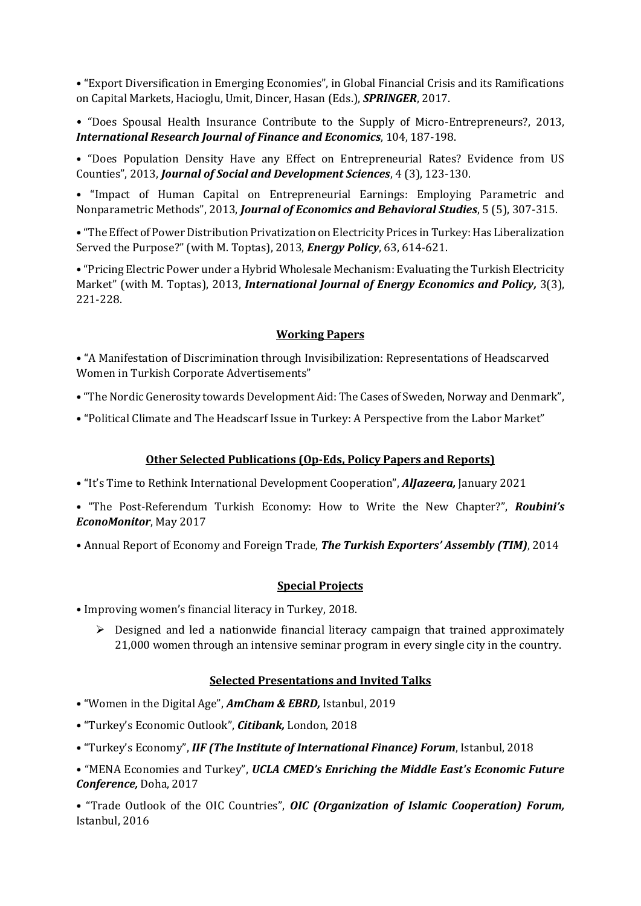• "Export Diversification in Emerging Economies", in Global Financial Crisis and its Ramifications on Capital Markets, Hacioglu, Umit, Dincer, Hasan (Eds.), *SPRINGER*, 2017.

• "Does Spousal Health Insurance Contribute to the Supply of Micro-Entrepreneurs?, 2013, *International Research Journal of Finance and Economics*, 104, 187-198.

• "Does Population Density Have any Effect on Entrepreneurial Rates? Evidence from US Counties", 2013, *Journal of Social and Development Sciences*, 4 (3), 123-130.

• "Impact of Human Capital on Entrepreneurial Earnings: Employing Parametric and Nonparametric Methods", 2013, *Journal of Economics and Behavioral Studies*, 5 (5), 307-315.

• "The Effect of Power Distribution Privatization on Electricity Prices in Turkey: Has Liberalization Served the Purpose?" (with M. Toptas), 2013, *Energy Policy*, 63, 614-621.

• "Pricing Electric Power under a Hybrid Wholesale Mechanism: Evaluating the Turkish Electricity Market" (with M. Toptas), 2013, *International Journal of Energy Economics and Policy,* 3(3), 221-228.

## **Working Papers**

• "A Manifestation of Discrimination through Invisibilization: Representations of Headscarved Women in Turkish Corporate Advertisements"

- "The Nordic Generosity towards Development Aid: The Cases of Sweden, Norway and Denmark",
- "Political Climate and The Headscarf Issue in Turkey: A Perspective from the Labor Market"

### **Other Selected Publications (Op-Eds, Policy Papers and Reports)**

• "It's Time to Rethink International Development Cooperation", *AlJazeera,* January 2021

• "The Post-Referendum Turkish Economy: How to Write the New Chapter?", *Roubini's EconoMonitor*, May 2017

• Annual Report of Economy and Foreign Trade, *The Turkish Exporters' Assembly (TIM)*, 2014

## **Special Projects**

- Improving women's financial literacy in Turkey, 2018.
	- $\triangleright$  Designed and led a nationwide financial literacy campaign that trained approximately 21,000 women through an intensive seminar program in every single city in the country.

## **Selected Presentations and Invited Talks**

- "Women in the Digital Age", *AmCham & EBRD,* Istanbul, 2019
- "Turkey's Economic Outlook", *Citibank,* London, 2018
- "Turkey's Economy", *IIF (The Institute of International Finance) Forum*, Istanbul, 2018

• "MENA Economies and Turkey", *UCLA CMED's Enriching the Middle East's Economic Future Conference,* Doha, 2017

• "Trade Outlook of the OIC Countries", *OIC (Organization of Islamic Cooperation) Forum,*  Istanbul, 2016